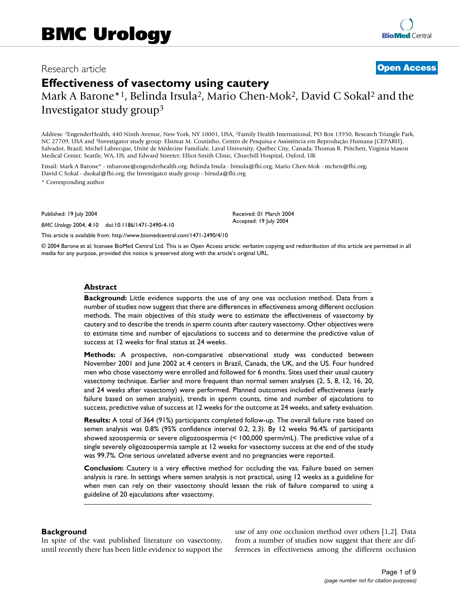# Research article **[Open Access](http://www.biomedcentral.com/info/about/charter/)**

# **Effectiveness of vasectomy using cautery** Mark A Barone<sup>\*1</sup>, Belinda Irsula<sup>2</sup>, Mario Chen-Mok<sup>2</sup>, David C Sokal<sup>2</sup> and the Investigator study group3

Address: 1EngenderHealth, 440 Ninth Avenue, New York, NY 10001, USA, 2Family Health International, PO Box 13950, Research Triangle Park, NC 27709, USA and 3Investigator study group: Elsimar M. Coutinho, Centro de Pesquisa e Assistência em Reprodução Humana (CEPARH), Salvador, Brazil; Michel Labrecque, Unité de Médecine Familiale, Laval University, Québec City, Canada; Thomas R. Pritchett, Virginia Mason Medical Center, Seattle, WA, US; and Edward Streeter; Elliot-Smith Clinic, Churchill Hospital, Oxford, UK

Email: Mark A Barone\* - mbarone@engenderhealth.org; Belinda Irsula - birsula@fhi.org; Mario Chen-Mok - mchen@fhi.org; David C Sokal - dsokal@fhi.org; the Investigator study group - birsula@fhi.org

\* Corresponding author

Published: 19 July 2004

*BMC Urology* 2004, **4**:10 doi:10.1186/1471-2490-4-10

[This article is available from: http://www.biomedcentral.com/1471-2490/4/10](http://www.biomedcentral.com/1471-2490/4/10)

© 2004 Barone et al; licensee BioMed Central Ltd. This is an Open Access article: verbatim copying and redistribution of this article are permitted in all media for any purpose, provided this notice is preserved along with the article's original URL.

Received: 01 March 2004 Accepted: 19 July 2004

#### **Abstract**

**Background:** Little evidence supports the use of any one vas occlusion method. Data from a number of studies now suggest that there are differences in effectiveness among different occlusion methods. The main objectives of this study were to estimate the effectiveness of vasectomy by cautery and to describe the trends in sperm counts after cautery vasectomy. Other objectives were to estimate time and number of ejaculations to success and to determine the predictive value of success at 12 weeks for final status at 24 weeks.

**Methods:** A prospective, non-comparative observational study was conducted between November 2001 and June 2002 at 4 centers in Brazil, Canada, the UK, and the US. Four hundred men who chose vasectomy were enrolled and followed for 6 months. Sites used their usual cautery vasectomy technique. Earlier and more frequent than normal semen analyses (2, 5, 8, 12, 16, 20, and 24 weeks after vasectomy) were performed. Planned outcomes included effectiveness (early failure based on semen analysis), trends in sperm counts, time and number of ejaculations to success, predictive value of success at 12 weeks for the outcome at 24 weeks, and safety evaluation.

**Results:** A total of 364 (91%) participants completed follow-up. The overall failure rate based on semen analysis was 0.8% (95% confidence interval 0.2, 2.3). By 12 weeks 96.4% of participants showed azoospermia or severe oligozoospermia (< 100,000 sperm/mL). The predictive value of a single severely oligozoospermia sample at 12 weeks for vasectomy success at the end of the study was 99.7%. One serious unrelated adverse event and no pregnancies were reported.

**Conclusion:** Cautery is a very effective method for occluding the vas. Failure based on semen analysis is rare. In settings where semen analysis is not practical, using 12 weeks as a guideline for when men can rely on their vasectomy should lessen the risk of failure compared to using a guideline of 20 ejaculations after vasectomy.

#### **Background**

In spite of the vast published literature on vasectomy, until recently there has been little evidence to support the use of any one occlusion method over others [1,2]. Data from a number of studies now suggest that there are differences in effectiveness among the different occlusion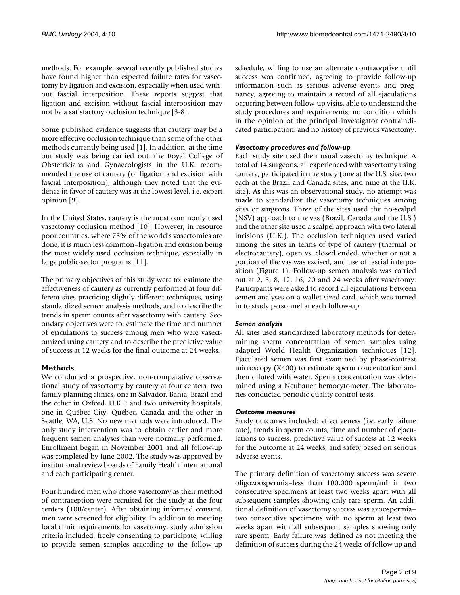methods. For example, several recently published studies have found higher than expected failure rates for vasectomy by ligation and excision, especially when used without fascial interposition. These reports suggest that ligation and excision without fascial interposition may not be a satisfactory occlusion technique [3-8].

Some published evidence suggests that cautery may be a more effective occlusion technique than some of the other methods currently being used [1]. In addition, at the time our study was being carried out, the Royal College of Obstetricians and Gynaecologists in the U.K. recommended the use of cautery (or ligation and excision with fascial interposition), although they noted that the evidence in favor of cautery was at the lowest level, i.e. expert opinion [9].

In the United States, cautery is the most commonly used vasectomy occlusion method [10]. However, in resource poor countries, where 75% of the world's vasectomies are done, it is much less common–ligation and excision being the most widely used occlusion technique, especially in large public-sector programs [11].

The primary objectives of this study were to: estimate the effectiveness of cautery as currently performed at four different sites practicing slightly different techniques, using standardized semen analysis methods, and to describe the trends in sperm counts after vasectomy with cautery. Secondary objectives were to: estimate the time and number of ejaculations to success among men who were vasectomized using cautery and to describe the predictive value of success at 12 weeks for the final outcome at 24 weeks.

# **Methods**

We conducted a prospective, non-comparative observational study of vasectomy by cautery at four centers: two family planning clinics, one in Salvador, Bahia, Brazil and the other in Oxford, U.K. ; and two university hospitals, one in Québec City, Québec, Canada and the other in Seattle, WA, U.S. No new methods were introduced. The only study intervention was to obtain earlier and more frequent semen analyses than were normally performed. Enrollment began in November 2001 and all follow-up was completed by June 2002. The study was approved by institutional review boards of Family Health International and each participating center.

Four hundred men who chose vasectomy as their method of contraception were recruited for the study at the four centers (100/center). After obtaining informed consent, men were screened for eligibility. In addition to meeting local clinic requirements for vasectomy, study admission criteria included: freely consenting to participate, willing to provide semen samples according to the follow-up

schedule, willing to use an alternate contraceptive until success was confirmed, agreeing to provide follow-up information such as serious adverse events and pregnancy, agreeing to maintain a record of all ejaculations occurring between follow-up visits, able to understand the study procedures and requirements, no condition which in the opinion of the principal investigator contraindicated participation, and no history of previous vasectomy.

# *Vasectomy procedures and follow-up*

Each study site used their usual vasectomy technique. A total of 14 surgeons, all experienced with vasectomy using cautery, participated in the study (one at the U.S. site, two each at the Brazil and Canada sites, and nine at the U.K. site). As this was an observational study, no attempt was made to standardize the vasectomy techniques among sites or surgeons. Three of the sites used the no-scalpel (NSV) approach to the vas (Brazil, Canada and the U.S.) and the other site used a scalpel approach with two lateral incisions (U.K.). The occlusion techniques used varied among the sites in terms of type of cautery (thermal or electrocautery), open vs. closed ended, whether or not a portion of the vas was excised, and use of fascial interposition (Figure [1](#page-2-0)). Follow-up semen analysis was carried out at 2, 5, 8, 12, 16, 20 and 24 weeks after vasectomy. Participants were asked to record all ejaculations between semen analyses on a wallet-sized card, which was turned in to study personnel at each follow-up.

### *Semen analysis*

All sites used standardized laboratory methods for determining sperm concentration of semen samples using adapted World Health Organization techniques [12]. Ejaculated semen was first examined by phase-contrast microscopy (X400) to estimate sperm concentration and then diluted with water. Sperm concentration was determined using a Neubauer hemocytometer. The laboratories conducted periodic quality control tests.

### *Outcome measures*

Study outcomes included: effectiveness (i.e. early failure rate), trends in sperm counts, time and number of ejaculations to success, predictive value of success at 12 weeks for the outcome at 24 weeks, and safety based on serious adverse events.

The primary definition of vasectomy success was severe oligozoospermia–less than 100,000 sperm/mL in two consecutive specimens at least two weeks apart with all subsequent samples showing only rare sperm. An additional definition of vasectomy success was azoospermia– two consecutive specimens with no sperm at least two weeks apart with all subsequent samples showing only rare sperm. Early failure was defined as not meeting the definition of success during the 24 weeks of follow up and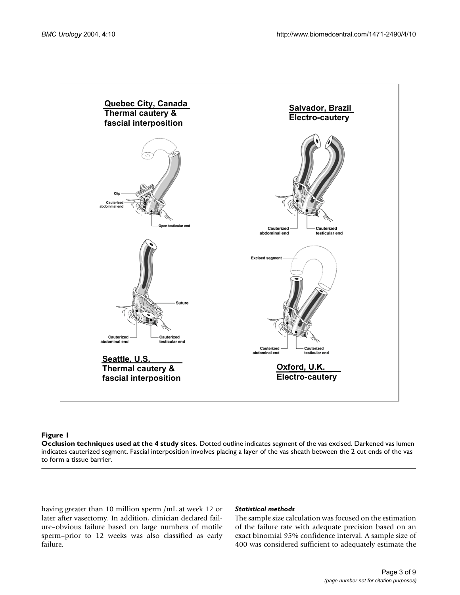<span id="page-2-0"></span>

#### **Figure 1**

**Occlusion techniques used at the 4 study sites.** Dotted outline indicates segment of the vas excised. Darkened vas lumen indicates cauterized segment. Fascial interposition involves placing a layer of the vas sheath between the 2 cut ends of the vas to form a tissue barrier.

having greater than 10 million sperm /mL at week 12 or later after vasectomy. In addition, clinician declared failure–obvious failure based on large numbers of motile sperm–prior to 12 weeks was also classified as early failure.

#### *Statistical methods*

The sample size calculation was focused on the estimation of the failure rate with adequate precision based on an exact binomial 95% confidence interval. A sample size of 400 was considered sufficient to adequately estimate the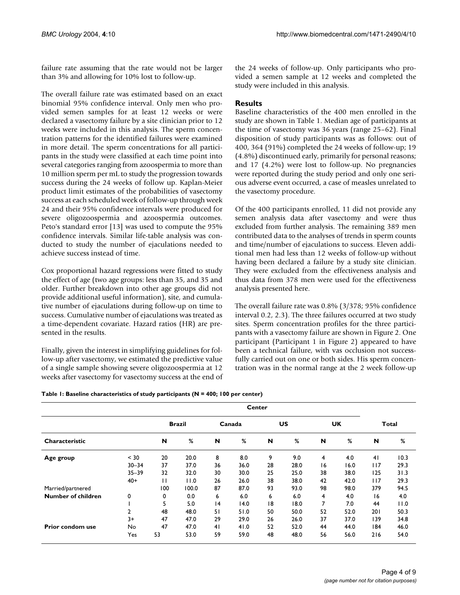failure rate assuming that the rate would not be larger than 3% and allowing for 10% lost to follow-up.

The overall failure rate was estimated based on an exact binomial 95% confidence interval. Only men who provided semen samples for at least 12 weeks or were declared a vasectomy failure by a site clinician prior to 12 weeks were included in this analysis. The sperm concentration patterns for the identified failures were examined in more detail. The sperm concentrations for all participants in the study were classified at each time point into several categories ranging from azoospermia to more than 10 million sperm per mL to study the progression towards success during the 24 weeks of follow up. Kaplan-Meier product limit estimates of the probabilities of vasectomy success at each scheduled week of follow-up through week 24 and their 95% confidence intervals were produced for severe oligozoospermia and azoospermia outcomes. Peto's standard error [13] was used to compute the 95% confidence intervals. Similar life-table analysis was conducted to study the number of ejaculations needed to achieve success instead of time.

Cox proportional hazard regressions were fitted to study the effect of age (two age groups: less than 35, and 35 and older. Further breakdown into other age groups did not provide additional useful information), site, and cumulative number of ejaculations during follow-up on time to success. Cumulative number of ejaculations was treated as a time-dependent covariate. Hazard ratios (HR) are presented in the results.

Finally, given the interest in simplifying guidelines for follow-up after vasectomy, we estimated the predictive value of a single sample showing severe oligozoospermia at 12 weeks after vasectomy for vasectomy success at the end of the 24 weeks of follow-up. Only participants who provided a semen sample at 12 weeks and completed the study were included in this analysis.

# **Results**

Baseline characteristics of the 400 men enrolled in the study are shown in Table 1. Median age of participants at the time of vasectomy was 36 years (range 25–62). Final disposition of study participants was as follows: out of 400, 364 (91%) completed the 24 weeks of follow-up; 19 (4.8%) discontinued early, primarily for personal reasons; and 17 (4.2%) were lost to follow-up. No pregnancies were reported during the study period and only one serious adverse event occurred, a case of measles unrelated to the vasectomy procedure.

Of the 400 participants enrolled, 11 did not provide any semen analysis data after vasectomy and were thus excluded from further analysis. The remaining 389 men contributed data to the analyses of trends in sperm counts and time/number of ejaculations to success. Eleven additional men had less than 12 weeks of follow-up without having been declared a failure by a study site clinician. They were excluded from the effectiveness analysis and thus data from 378 men were used for the effectiveness analysis presented here.

The overall failure rate was 0.8% (3/378; 95% confidence interval 0.2, 2.3). The three failures occurred at two study sites. Sperm concentration profiles for the three participants with a vasectomy failure are shown in Figure 2. One participant (Participant 1 in Figure 2) appeared to have been a technical failure, with vas occlusion not successfully carried out on one or both sides. His sperm concentration was in the normal range at the 2 week follow-up

|                         |              | Center        |       |        |      |           |      |    |      |       |      |
|-------------------------|--------------|---------------|-------|--------|------|-----------|------|----|------|-------|------|
|                         |              | <b>Brazil</b> |       | Canada |      | <b>US</b> |      | UK |      | Total |      |
| Characteristic          |              | N             | %     | N      | %    | N         | %    | N  | %    | N     | %    |
| Age group               | < 30         | 20            | 20.0  | 8      | 8.0  | 9         | 9.0  | 4  | 4.0  | 41    | 10.3 |
|                         | $30 - 34$    | 37            | 37.0  | 36     | 36.0 | 28        | 28.0 | 16 | 16.0 | 117   | 29.3 |
|                         | $35 - 39$    | 32            | 32.0  | 30     | 30.0 | 25        | 25.0 | 38 | 38.0 | 125   | 31.3 |
|                         | $40+$        | $\mathbf{H}$  | 11.0  | 26     | 26.0 | 38        | 38.0 | 42 | 42.0 | 117   | 29.3 |
| Married/partnered       |              | 100           | 100.0 | 87     | 87.0 | 93        | 93.0 | 98 | 98.0 | 379   | 94.5 |
| Number of children      | 0            | 0             | 0.0   | 6      | 6.0  | 6         | 6.0  | 4  | 4.0  | 16    | 4.0  |
|                         |              | 5             | 5.0   | 4      | 14.0 | 18        | 18.0 | 7  | 7.0  | 44    | 11.0 |
|                         | $\mathbf{2}$ | 48            | 48.0  | 51     | 51.0 | 50        | 50.0 | 52 | 52.0 | 201   | 50.3 |
|                         | $3+$         | 47            | 47.0  | 29     | 29.0 | 26        | 26.0 | 37 | 37.0 | 139   | 34.8 |
| <b>Prior condom use</b> | No           | 47            | 47.0  | 41     | 41.0 | 52        | 52.0 | 44 | 44.0 | 184   | 46.0 |
|                         | Yes          | 53            | 53.0  | 59     | 59.0 | 48        | 48.0 | 56 | 56.0 | 216   | 54.0 |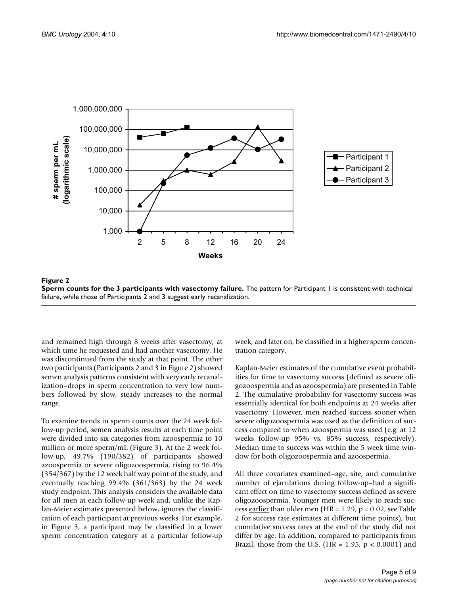

Figure 2 **Sperm counts for the 3 participants with vasectomy failure.** The pattern for Participant 1 is consistent with technical failure, while those of Participants 2 and 3 suggest early recanalization.

and remained high through 8 weeks after vasectomy, at which time he requested and had another vasectomy. He was discontinued from the study at that point. The other two participants (Participants 2 and 3 in Figure 2) showed semen analysis patterns consistent with very early recanalization–drops in sperm concentration to very low numbers followed by slow, steady increases to the normal range.

To examine trends in sperm counts over the 24 week follow-up period, semen analysis results at each time point were divided into six categories from azoospermia to 10 million or more sperm/mL (Figure [3](#page-5-0)). At the 2 week follow-up, 49.7% (190/382) of participants showed azoospermia or severe oligozoospermia, rising to 96.4% (354/367) by the 12 week half way point of the study, and eventually reaching 99.4% (361/363) by the 24 week study endpoint. This analysis considers the available data for all men at each follow-up week and, unlike the Kaplan-Meier estimates presented below, ignores the classification of each participant at previous weeks. For example, in Figure [3](#page-5-0), a participant may be classified in a lower sperm concentration category at a particular follow-up

week, and later on, be classified in a higher sperm concentration category.

Kaplan-Meier estimates of the cumulative event probabilities for time to vasectomy success (defined as severe oligozoospermia and as azoospermia) are presented in Table 2. The cumulative probability for vasectomy success was essentially identical for both endpoints at 24 weeks after vasectomy. However, men reached success sooner when severe oligozoospermia was used as the definition of success compared to when azoospermia was used (e.g. at 12 weeks follow-up 95% vs. 85% success, respectively). Median time to success was within the 5 week time window for both oligozoospermia and azoospermia.

All three covariates examined–age, site, and cumulative number of ejaculations during follow-up–had a significant effect on time to vasectomy success defined as severe oligozoospermia. Younger men were likely to reach success earlier than older men (HR =  $1.29$ , p =  $0.02$ , see Table 2 for success rate estimates at different time points), but cumulative success rates at the end of the study did not differ by age. In addition, compared to participants from Brazil, those from the U.S. (HR =  $1.95$ , p <  $0.0001$ ) and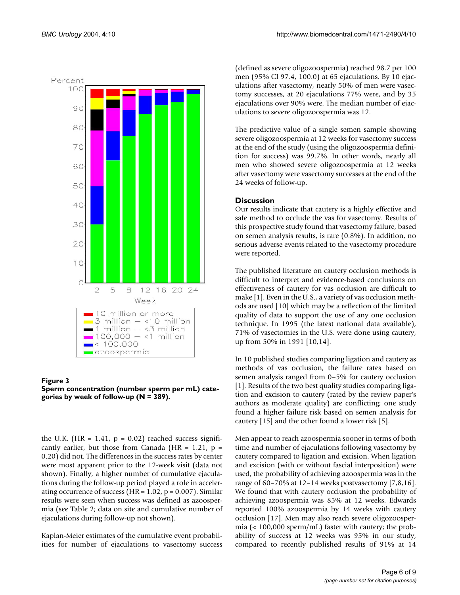<span id="page-5-0"></span>

Figure 3 **Sperm concentration (number sperm per mL) categories by week of follow-up (N = 389).**

the U.K. (HR =  $1.41$ , p = 0.02) reached success significantly earlier, but those from Canada (HR =  $1.21$ , p = 0.20) did not. The differences in the success rates by center were most apparent prior to the 12-week visit (data not shown). Finally, a higher number of cumulative ejaculations during the follow-up period played a role in accelerating occurrence of success (HR =  $1.02$ , p =  $0.007$ ). Similar results were seen when success was defined as azoospermia (see Table 2; data on site and cumulative number of ejaculations during follow-up not shown).

Kaplan-Meier estimates of the cumulative event probabilities for number of ejaculations to vasectomy success (defined as severe oligozoospermia) reached 98.7 per 100 men (95% CI 97.4, 100.0) at 65 ejaculations. By 10 ejaculations after vasectomy, nearly 50% of men were vasectomy successes, at 20 ejaculations 77% were, and by 35 ejaculations over 90% were. The median number of ejaculations to severe oligozoospermia was 12.

The predictive value of a single semen sample showing severe oligozoospermia at 12 weeks for vasectomy success at the end of the study (using the oligozoospermia definition for success) was 99.7%. In other words, nearly all men who showed severe oligozoospermia at 12 weeks after vasectomy were vasectomy successes at the end of the 24 weeks of follow-up.

## **Discussion**

Our results indicate that cautery is a highly effective and safe method to occlude the vas for vasectomy. Results of this prospective study found that vasectomy failure, based on semen analysis results, is rare (0.8%). In addition, no serious adverse events related to the vasectomy procedure were reported.

The published literature on cautery occlusion methods is difficult to interpret and evidence-based conclusions on effectiveness of cautery for vas occlusion are difficult to make [1]. Even in the U.S., a variety of vas occlusion methods are used [10] which may be a reflection of the limited quality of data to support the use of any one occlusion technique. In 1995 (the latest national data available), 71% of vasectomies in the U.S. were done using cautery, up from 50% in 1991 [10,14].

In 10 published studies comparing ligation and cautery as methods of vas occlusion, the failure rates based on semen analysis ranged from 0–5% for cautery occlusion [1]. Results of the two best quality studies comparing ligation and excision to cautery (rated by the review paper's authors as moderate quality) are conflicting; one study found a higher failure risk based on semen analysis for cautery [15] and the other found a lower risk [5].

Men appear to reach azoospermia sooner in terms of both time and number of ejaculations following vasectomy by cautery compared to ligation and excision. When ligation and excision (with or without fascial interposition) were used, the probability of achieving azoospermia was in the range of 60–70% at 12–14 weeks postvasectomy [7,8,16]. We found that with cautery occlusion the probability of achieving azoospermia was 85% at 12 weeks. Edwards reported 100% azoospermia by 14 weeks with cautery occlusion [17]. Men may also reach severe oligozoospermia (< 100,000 sperm/mL) faster with cautery; the probability of success at 12 weeks was 95% in our study, compared to recently published results of 91% at 14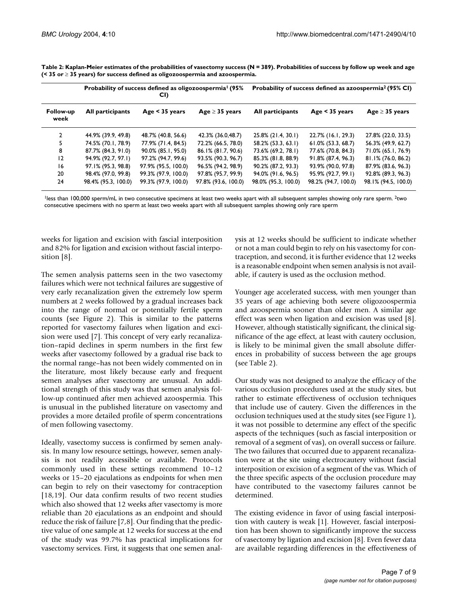|                   |                     | Probability of success defined as oligozoospermia <sup>1</sup> (95%)<br>CI) |                     | Probability of success defined as azoospermia <sup>2</sup> (95% CI) |                       |                       |  |  |  |
|-------------------|---------------------|-----------------------------------------------------------------------------|---------------------|---------------------------------------------------------------------|-----------------------|-----------------------|--|--|--|
| Follow-up<br>week | All participants    | Age $<$ 35 years                                                            | Age $\geq$ 35 years | All participants                                                    | Age $<$ 35 years      | Age $\geq$ 35 years   |  |  |  |
| $\mathbf{2}$      | 44.9% (39.9, 49.8)  | 48.7% (40.8, 56.6)                                                          | 42.3% (36.0,48.7)   | $25.8\%$ (21.4, 30.1)                                               | 22.7% (16.1, 29.3)    | 27.8% (22.0, 33.5)    |  |  |  |
| 5.                | 74.5% (70.1, 78.9)  | 77.9% (71.4, 84.5)                                                          | 72.2% (66.5, 78.0)  | 58.2% (53.3, 63.1)                                                  | $61.0\%$ (53.3, 68.7) | 56.3% (49.9, 62.7)    |  |  |  |
| 8                 | 87.7% (84.3, 91.0)  | 90.0% (85.1, 95.0)                                                          | 86.1% (81.7, 90.6)  | 73.6% (69.2, 78.1)                                                  | 77.6% (70.8, 84.3)    | 71.0% (65.1, 76.9)    |  |  |  |
| 12                | 94.9% (92.7, 97.1)  | 97.2% (94.7, 99.6)                                                          | 93.5% (90.3, 96.7)  | 85.3% (81.8, 88.9)                                                  | 91.8% (87.4, 96.3)    | $81.1\%$ (76.0, 86.2) |  |  |  |
| 16                | 97.1% (95.3, 98.8)  | 97.9% (95.5, 100.0)                                                         | 96.5% (94.2, 98.9)  | 90.2% (87.2, 93.3)                                                  | 93.9% (90.0, 97.8)    | 87.9% (83.6, 96.3)    |  |  |  |
| 20                | 98.4% (97.0, 99.8)  | 99.3% (97.9, 100.0)                                                         | 97.8% (95.7, 99.9)  | 94.0% (91.6, 96.5)                                                  | 95.9% (92.7, 99.1)    | 92.8% (89.3, 96.3)    |  |  |  |
| 24                | 98.4% (95.3, 100.0) | 99.3% (97.9, 100.0)                                                         | 97.8% (93.6, 100.0) | 98.0% (95.3, 100.0)                                                 | 98.2% (94.7, 100.0)   | 98.1% (94.5, 100.0)   |  |  |  |

**Table 2: Kaplan-Meier estimates of the probabilities of vasectomy success (N = 389). Probabilities of success by follow up week and age (< 35 or** ≥ **35 years) for success defined as oligozoospermia and azoospermia.**

1less than 100,000 sperm/mL in two consecutive specimens at least two weeks apart with all subsequent samples showing only rare sperm. 2two consecutive specimens with no sperm at least two weeks apart with all subsequent samples showing only rare sperm

weeks for ligation and excision with fascial interposition and 82% for ligation and excision without fascial interposition [8].

The semen analysis patterns seen in the two vasectomy failures which were not technical failures are suggestive of very early recanalization given the extremely low sperm numbers at 2 weeks followed by a gradual increases back into the range of normal or potentially fertile sperm counts (see Figure 2). This is similar to the patterns reported for vasectomy failures when ligation and excision were used [7]. This concept of very early recanalization–rapid declines in sperm numbers in the first few weeks after vasectomy followed by a gradual rise back to the normal range–has not been widely commented on in the literature, most likely because early and frequent semen analyses after vasectomy are unusual. An additional strength of this study was that semen analysis follow-up continued after men achieved azoospermia. This is unusual in the published literature on vasectomy and provides a more detailed profile of sperm concentrations of men following vasectomy.

Ideally, vasectomy success is confirmed by semen analysis. In many low resource settings, however, semen analysis is not readily accessible or available. Protocols commonly used in these settings recommend 10–12 weeks or 15–20 ejaculations as endpoints for when men can begin to rely on their vasectomy for contraception [18,19]. Our data confirm results of two recent studies which also showed that 12 weeks after vasectomy is more reliable than 20 ejaculations as an endpoint and should reduce the risk of failure [7,8]. Our finding that the predictive value of one sample at 12 weeks for success at the end of the study was 99.7% has practical implications for vasectomy services. First, it suggests that one semen analysis at 12 weeks should be sufficient to indicate whether or not a man could begin to rely on his vasectomy for contraception, and second, it is further evidence that 12 weeks is a reasonable endpoint when semen analysis is not available, if cautery is used as the occlusion method.

Younger age accelerated success, with men younger than 35 years of age achieving both severe oligozoospermia and azoospermia sooner than older men. A similar age effect was seen when ligation and excision was used [8]. However, although statistically significant, the clinical significance of the age effect, at least with cautery occlusion, is likely to be minimal given the small absolute differences in probability of success between the age groups (see Table 2).

Our study was not designed to analyze the efficacy of the various occlusion procedures used at the study sites, but rather to estimate effectiveness of occlusion techniques that include use of cautery. Given the differences in the occlusion techniques used at the study sites (see Figure [1\)](#page-2-0), it was not possible to determine any effect of the specific aspects of the techniques (such as fascial interposition or removal of a segment of vas), on overall success or failure. The two failures that occurred due to apparent recanalization were at the site using electrocautery without fascial interposition or excision of a segment of the vas. Which of the three specific aspects of the occlusion procedure may have contributed to the vasectomy failures cannot be determined.

The existing evidence in favor of using fascial interposition with cautery is weak [1]. However, fascial interposition has been shown to significantly improve the success of vasectomy by ligation and excision [8]. Even fewer data are available regarding differences in the effectiveness of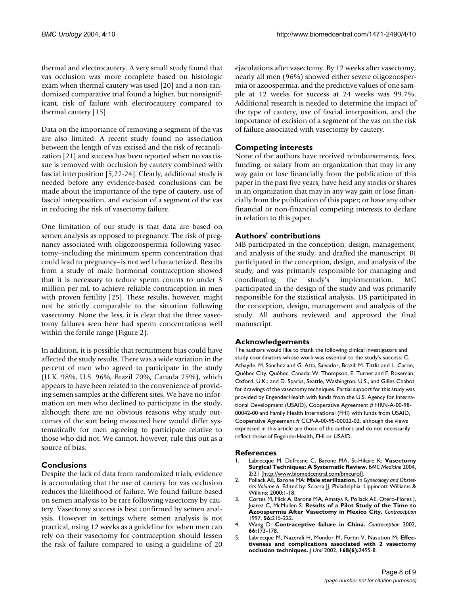thermal and electrocautery. A very small study found that vas occlusion was more complete based on histologic exam when thermal cautery was used [20] and a non-randomized comparative trial found a higher, but nonsignificant, risk of failure with electrocautery compared to thermal cautery [15].

Data on the importance of removing a segment of the vas are also limited. A recent study found no association between the length of vas excised and the risk of recanalization [21] and success has been reported when no vas tissue is removed with occlusion by cautery combined with fascial interposition [5,22-24]. Clearly, additional study is needed before any evidence-based conclusions can be made about the importance of the type of cautery, use of fascial interposition, and excision of a segment of the vas in reducing the risk of vasectomy failure.

One limitation of our study is that data are based on semen analysis as opposed to pregnancy. The risk of pregnancy associated with oligozoospermia following vasectomy–including the minimum sperm concentration that could lead to pregnancy–is not well characterized. Results from a study of male hormonal contraception showed that it is necessary to reduce sperm counts to under 3 million per mL to achieve reliable contraception in men with proven fertility [25]. These results, however, might not be strictly comparable to the situation following vasectomy. None the less, it is clear that the three vasectomy failures seen here had sperm concentrations well within the fertile range (Figure 2).

In addition, it is possible that recruitment bias could have affected the study results. There was a wide variation in the percent of men who agreed to participate in the study (U.K. 98%, U.S. 96%, Brazil 70%, Canada 25%), which appears to have been related to the convenience of providing semen samples at the different sites. We have no information on men who declined to participate in the study, although there are no obvious reasons why study outcomes of the sort being measured here would differ systematically for men agreeing to participate relative to those who did not. We cannot, however, rule this out as a source of bias.

# **Conclusions**

Despite the lack of data from randomized trials, evidence is accumulating that the use of cautery for vas occlusion reduces the likelihood of failure. We found failure based on semen analysis to be rare following vasectomy by cautery. Vasectomy success is best confirmed by semen analysis. However in settings where semen analysis is not practical, using 12 weeks as a guideline for when men can rely on their vasectomy for contraception should lessen the risk of failure compared to using a guideline of 20

ejaculations after vasectomy. By 12 weeks after vasectomy, nearly all men (96%) showed either severe oligozoospermia or azoospermia, and the predictive values of one sample at 12 weeks for success at 24 weeks was 99.7%. Additional research is needed to determine the impact of the type of cautery, use of fascial interposition, and the importance of excision of a segment of the vas on the risk of failure associated with vasectomy by cautery.

# **Competing interests**

None of the authors have received reimbursements, fees, funding, or salary from an organization that may in any way gain or lose financially from the publication of this paper in the past five years; have held any stocks or shares in an organization that may in any way gain or lose financially from the publication of this paper; or have any other financial or non-financial competing interests to declare in relation to this paper.

# **Authors' contributions**

MB participated in the conception, design, management, and analysis of the study, and drafted the manuscript. BI participated in the conception, design, and analysis of the study, and was primarily responsible for managing and coordinating the study's implementation. MC participated in the design of the study and was primarily responsible for the statistical analysis. DS participated in the conception, design, management and analysis of the study. All authors reviewed and approved the final manuscript.

# **Acknowledgements**

The authors would like to thank the following clinical investigators and study coordinators whose work was essential to the study's success: C. Athayde, M. Sánchez and G. Atta, Salvador, Brazil; M. Tittlit and L. Caron, Québec City, Québec, Canada; W. Thompson, E. Turner and F. Roseman, Oxford, U.K.; and D. Sparks, Seattle, Washington, U.S., and Gilles Chabot for drawings of the vasectomy techniques. Partial support for this study was provided by EngenderHealth with funds from the U.S. Agency for International Development (USAID), Cooperative Agreement # HRN-A-00-98-00042-00 and Family Health International (FHI) with funds from USAID, Cooperative Agreement # CCP-A-00-95-00022-02, although the views expressed in this article are those of the authors and do not necessarily reflect those of EngenderHealth, FHI or USAID.

### **References**

- 1. Labrecque M, Dufresne C, Barone MA, St-Hilaire K: **[Vasectomy](http://www.ncbi.nlm.nih.gov/entrez/query.fcgi?cmd=Retrieve&db=PubMed&dopt=Abstract&list_uids=10.1186/1741-7015-2-21) [Surgical Techniques: A Systematic Review](http://www.ncbi.nlm.nih.gov/entrez/query.fcgi?cmd=Retrieve&db=PubMed&dopt=Abstract&list_uids=10.1186/1741-7015-2-21)[.](http://www.ncbi.nlm.nih.gov/entrez/query.fcgi?cmd=Retrieve&db=PubMed&dopt=Abstract&list_uids=15157272)** *BMC Medicine* 2004, **2:**21 [[http://www.biomedcentral.com/bmcurol\]](http://www.biomedcentral.com/bmcurol).
- 2. Pollack AE, Barone MA: **Male sterilization.** In *Gynecology and Obstetrics Volume 6*. Edited by: Sciarra JJ. Philadelphia: Lippincott Williams & Wilkins; 2000:1-18.
- 3. Cortes M, Flick A, Barone MA, Amatya R, Pollack AE, Otero-Flores J, Juarez C, McMullen S: **[Results of a Pilot Study of the Time to](http://www.ncbi.nlm.nih.gov/entrez/query.fcgi?cmd=Retrieve&db=PubMed&dopt=Abstract&list_uids=10.1016/S0010-7824(97)00138-8) [Azoospermia After Vasectomy in Mexico City](http://www.ncbi.nlm.nih.gov/entrez/query.fcgi?cmd=Retrieve&db=PubMed&dopt=Abstract&list_uids=10.1016/S0010-7824(97)00138-8)[.](http://www.ncbi.nlm.nih.gov/entrez/query.fcgi?cmd=Retrieve&db=PubMed&dopt=Abstract&list_uids=9408702)** *Contraception* 1997, **56:**215-222.
- 4. Wang D: **[Contraceptive failure in China](http://www.ncbi.nlm.nih.gov/entrez/query.fcgi?cmd=Retrieve&db=PubMed&dopt=Abstract&list_uids=10.1016/S0010-7824(02)00334-7)[.](http://www.ncbi.nlm.nih.gov/entrez/query.fcgi?cmd=Retrieve&db=PubMed&dopt=Abstract&list_uids=12384206)** *Contraception* 2002, **66:**173-178.
- 5. Labrecque M, Nazerali H, Mondor M, Fortin V, Nasution M: **[Effec](http://www.ncbi.nlm.nih.gov/entrez/query.fcgi?cmd=Retrieve&db=PubMed&dopt=Abstract&list_uids=12441948)[tiveness and complications associated with 2 vasectomy](http://www.ncbi.nlm.nih.gov/entrez/query.fcgi?cmd=Retrieve&db=PubMed&dopt=Abstract&list_uids=12441948) [occlusion techniques.](http://www.ncbi.nlm.nih.gov/entrez/query.fcgi?cmd=Retrieve&db=PubMed&dopt=Abstract&list_uids=12441948)** *J Urol* 2002, **168(6):**2495-8.